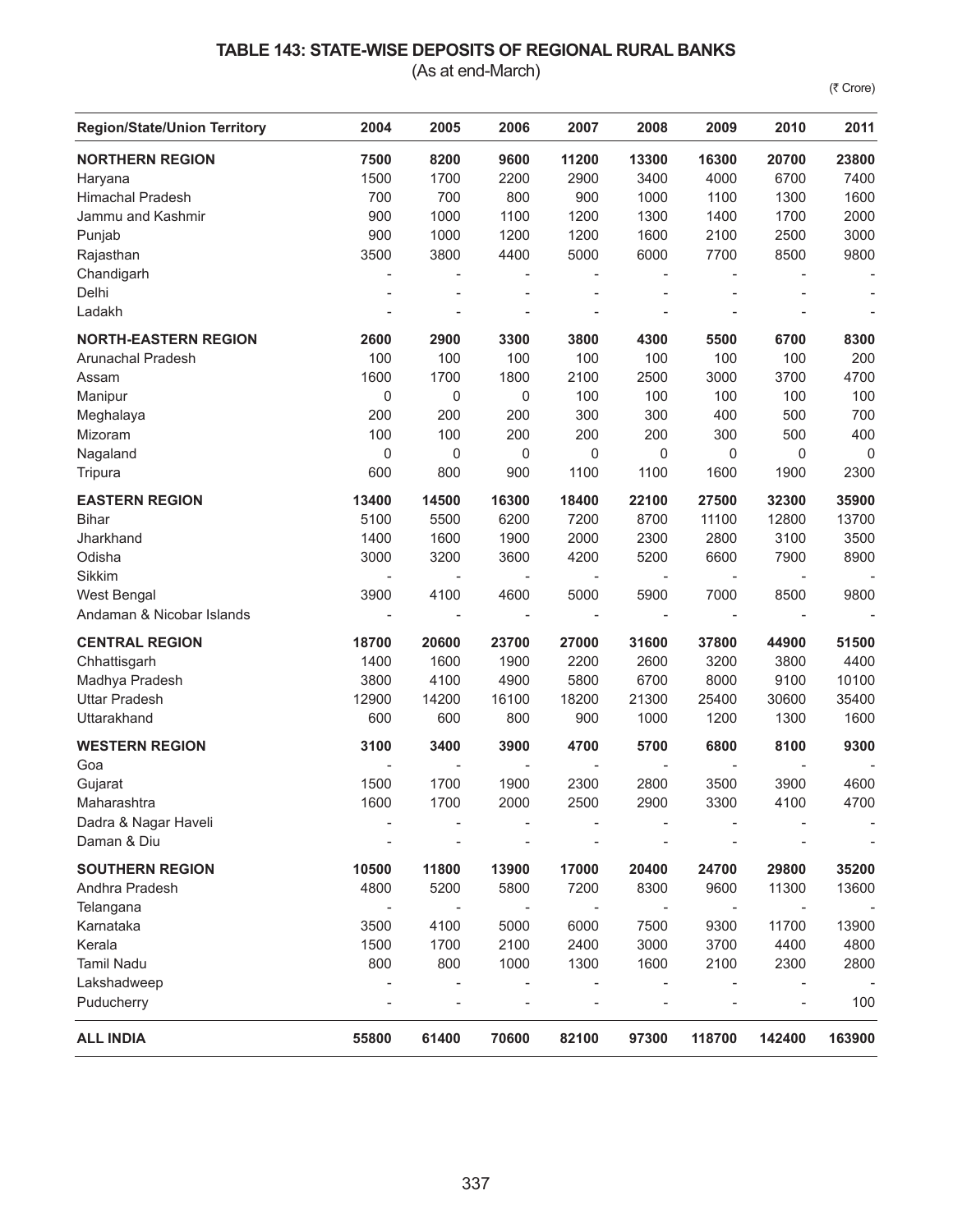## **TABLE 143: STATE-WISE DEPOSITS OF REGIONAL RURAL BANKS**

(As at end-March)

(₹ Crore)

| <b>Region/State/Union Territory</b> | 2004             | 2005                     | 2006        | 2007  | 2008  | 2009                     | 2010   | 2011        |
|-------------------------------------|------------------|--------------------------|-------------|-------|-------|--------------------------|--------|-------------|
| <b>NORTHERN REGION</b>              | 7500             | 8200                     | 9600        | 11200 | 13300 | 16300                    | 20700  | 23800       |
| Haryana                             | 1500             | 1700                     | 2200        | 2900  | 3400  | 4000                     | 6700   | 7400        |
| <b>Himachal Pradesh</b>             | 700              | 700                      | 800         | 900   | 1000  | 1100                     | 1300   | 1600        |
| Jammu and Kashmir                   | 900              | 1000                     | 1100        | 1200  | 1300  | 1400                     | 1700   | 2000        |
| Punjab                              | 900              | 1000                     | 1200        | 1200  | 1600  | 2100                     | 2500   | 3000        |
| Rajasthan                           | 3500             | 3800                     | 4400        | 5000  | 6000  | 7700                     | 8500   | 9800        |
| Chandigarh                          | $\overline{a}$   |                          |             |       |       | $\overline{\phantom{a}}$ |        |             |
| Delhi                               |                  |                          |             |       |       | $\overline{a}$           |        |             |
| Ladakh                              |                  |                          |             |       |       | $\overline{a}$           |        |             |
| <b>NORTH-EASTERN REGION</b>         | 2600             | 2900                     | 3300        | 3800  | 4300  | 5500                     | 6700   | 8300        |
| Arunachal Pradesh                   | 100              | 100                      | 100         | 100   | 100   | 100                      | 100    | 200         |
| Assam                               | 1600             | 1700                     | 1800        | 2100  | 2500  | 3000                     | 3700   | 4700        |
| Manipur                             | 0                | $\mathsf 0$              | $\mathbf 0$ | 100   | 100   | 100                      | 100    | 100         |
| Meghalaya                           | 200              | 200                      | 200         | 300   | 300   | 400                      | 500    | 700         |
| Mizoram                             | 100              | 100                      | 200         | 200   | 200   | 300                      | 500    | 400         |
| Nagaland                            | $\boldsymbol{0}$ | $\mathsf 0$              | $\mathbf 0$ | 0     | 0     | $\mathbf 0$              | 0      | $\mathbf 0$ |
| Tripura                             | 600              | 800                      | 900         | 1100  | 1100  | 1600                     | 1900   | 2300        |
| <b>EASTERN REGION</b>               | 13400            | 14500                    | 16300       | 18400 | 22100 | 27500                    | 32300  | 35900       |
| <b>Bihar</b>                        | 5100             | 5500                     | 6200        | 7200  | 8700  | 11100                    | 12800  | 13700       |
| Jharkhand                           | 1400             | 1600                     | 1900        | 2000  | 2300  | 2800                     | 3100   | 3500        |
| Odisha                              | 3000             | 3200                     | 3600        | 4200  | 5200  | 6600                     | 7900   | 8900        |
| Sikkim                              |                  |                          |             |       |       | $\overline{\phantom{a}}$ |        |             |
| West Bengal                         | 3900             | 4100                     | 4600        | 5000  | 5900  | 7000                     | 8500   | 9800        |
| Andaman & Nicobar Islands           |                  | $\overline{\phantom{a}}$ |             |       |       | $\overline{\phantom{a}}$ |        |             |
| <b>CENTRAL REGION</b>               | 18700            | 20600                    | 23700       | 27000 | 31600 | 37800                    | 44900  | 51500       |
| Chhattisgarh                        | 1400             | 1600                     | 1900        | 2200  | 2600  | 3200                     | 3800   | 4400        |
| Madhya Pradesh                      | 3800             | 4100                     | 4900        | 5800  | 6700  | 8000                     | 9100   | 10100       |
| <b>Uttar Pradesh</b>                | 12900            | 14200                    | 16100       | 18200 | 21300 | 25400                    | 30600  | 35400       |
| Uttarakhand                         | 600              | 600                      | 800         | 900   | 1000  | 1200                     | 1300   | 1600        |
| <b>WESTERN REGION</b>               | 3100             | 3400                     | 3900        | 4700  | 5700  | 6800                     | 8100   | 9300        |
| Goa                                 |                  |                          |             |       |       | $\overline{\phantom{a}}$ |        |             |
| Gujarat                             | 1500             | 1700                     | 1900        | 2300  | 2800  | 3500                     | 3900   | 4600        |
| Maharashtra                         | 1600             | 1700                     | 2000        | 2500  | 2900  | 3300                     | 4100   | 4700        |
| Dadra & Nagar Haveli                |                  |                          |             |       |       |                          |        |             |
| Daman & Diu                         |                  |                          |             |       |       |                          |        |             |
| <b>SOUTHERN REGION</b>              | 10500            | 11800                    | 13900       | 17000 | 20400 | 24700                    | 29800  | 35200       |
| Andhra Pradesh                      | 4800             | 5200                     | 5800        | 7200  | 8300  | 9600                     | 11300  | 13600       |
| Telangana                           |                  | $\overline{\phantom{a}}$ |             | ÷,    |       | $\overline{\phantom{a}}$ |        |             |
| Karnataka                           | 3500             | 4100                     | 5000        | 6000  | 7500  | 9300                     | 11700  | 13900       |
| Kerala                              | 1500             | 1700                     | 2100        | 2400  | 3000  | 3700                     | 4400   | 4800        |
| <b>Tamil Nadu</b>                   | 800              | 800                      | 1000        | 1300  | 1600  | 2100                     | 2300   | 2800        |
| Lakshadweep                         |                  |                          |             |       |       |                          |        |             |
| Puducherry                          |                  |                          |             |       |       |                          |        | 100         |
| <b>ALL INDIA</b>                    | 55800            | 61400                    | 70600       | 82100 | 97300 | 118700                   | 142400 | 163900      |